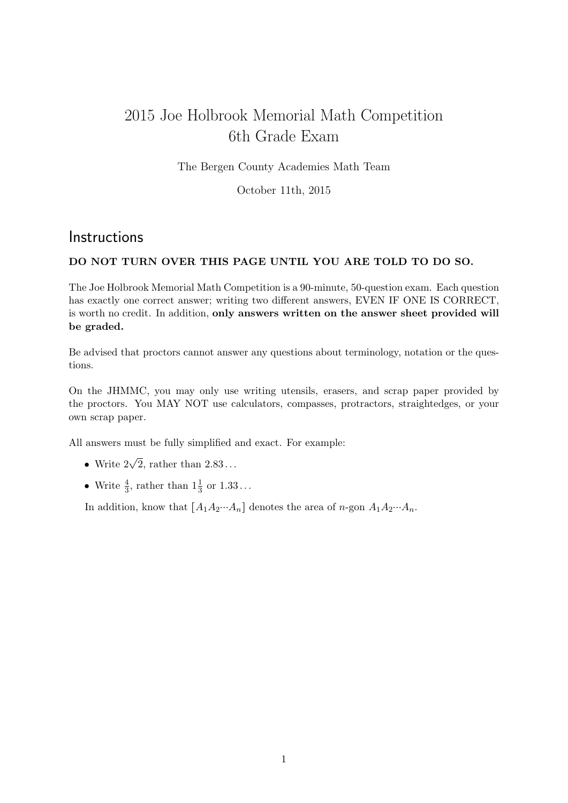## 2015 Joe Holbrook Memorial Math Competition 6th Grade Exam

The Bergen County Academies Math Team

October 11th, 2015

## **Instructions**

## DO NOT TURN OVER THIS PAGE UNTIL YOU ARE TOLD TO DO SO.

The Joe Holbrook Memorial Math Competition is a 90-minute, 50-question exam. Each question has exactly one correct answer; writing two different answers, EVEN IF ONE IS CORRECT, is worth no credit. In addition, only answers written on the answer sheet provided will be graded.

Be advised that proctors cannot answer any questions about terminology, notation or the questions.

On the JHMMC, you may only use writing utensils, erasers, and scrap paper provided by the proctors. You MAY NOT use calculators, compasses, protractors, straightedges, or your own scrap paper.

All answers must be fully simplified and exact. For example:

- Write  $2\sqrt{2}$ , rather than  $2.83...$
- Write  $\frac{4}{3}$ , rather than  $1\frac{1}{3}$  or  $1.33...$

In addition, know that  $[A_1A_2\cdots A_n]$  denotes the area of n-gon  $A_1A_2\cdots A_n$ .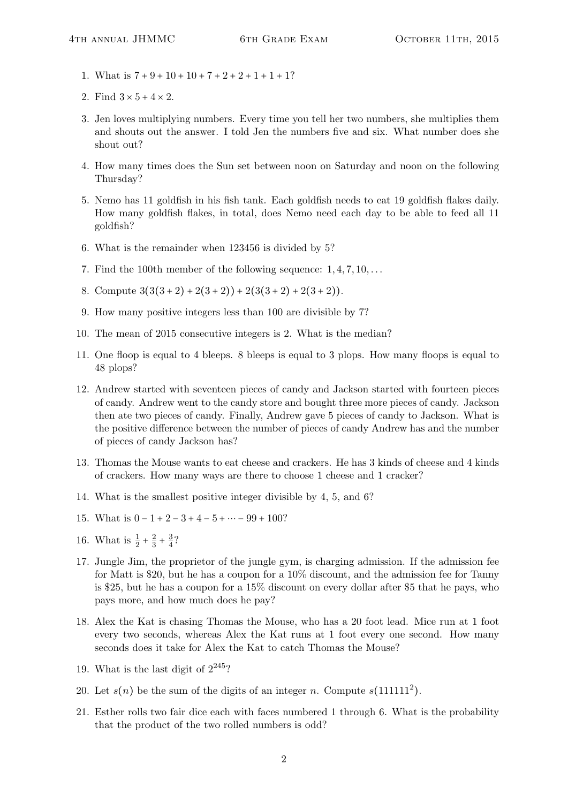- 1. What is  $7 + 9 + 10 + 10 + 7 + 2 + 2 + 1 + 1 + 1$ ?
- 2. Find  $3 \times 5 + 4 \times 2$ .
- 3. Jen loves multiplying numbers. Every time you tell her two numbers, she multiplies them and shouts out the answer. I told Jen the numbers five and six. What number does she shout out?
- 4. How many times does the Sun set between noon on Saturday and noon on the following Thursday?
- 5. Nemo has 11 goldfish in his fish tank. Each goldfish needs to eat 19 goldfish flakes daily. How many goldfish flakes, in total, does Nemo need each day to be able to feed all 11 goldfish?
- 6. What is the remainder when 123456 is divided by 5?
- 7. Find the 100th member of the following sequence:  $1, 4, 7, 10, \ldots$
- 8. Compute  $3(3(3+2)+2(3+2))+2(3(3+2)+2(3+2)).$
- 9. How many positive integers less than 100 are divisible by 7?
- 10. The mean of 2015 consecutive integers is 2. What is the median?
- 11. One floop is equal to 4 bleeps. 8 bleeps is equal to 3 plops. How many floops is equal to 48 plops?
- 12. Andrew started with seventeen pieces of candy and Jackson started with fourteen pieces of candy. Andrew went to the candy store and bought three more pieces of candy. Jackson then ate two pieces of candy. Finally, Andrew gave 5 pieces of candy to Jackson. What is the positive difference between the number of pieces of candy Andrew has and the number of pieces of candy Jackson has?
- 13. Thomas the Mouse wants to eat cheese and crackers. He has 3 kinds of cheese and 4 kinds of crackers. How many ways are there to choose 1 cheese and 1 cracker?
- 14. What is the smallest positive integer divisible by 4, 5, and 6?
- 15. What is  $0 1 + 2 3 + 4 5 + \cdots 99 + 100$ ?
- 16. What is  $\frac{1}{2} + \frac{2}{3}$  $rac{2}{3} + \frac{3}{4}$  $\frac{3}{4}$ ?
- 17. Jungle Jim, the proprietor of the jungle gym, is charging admission. If the admission fee for Matt is \$20, but he has a coupon for a 10% discount, and the admission fee for Tanny is \$25, but he has a coupon for a 15% discount on every dollar after \$5 that he pays, who pays more, and how much does he pay?
- 18. Alex the Kat is chasing Thomas the Mouse, who has a 20 foot lead. Mice run at 1 foot every two seconds, whereas Alex the Kat runs at 1 foot every one second. How many seconds does it take for Alex the Kat to catch Thomas the Mouse?
- 19. What is the last digit of  $2^{245}$ ?
- 20. Let  $s(n)$  be the sum of the digits of an integer n. Compute  $s(111111^2)$ .
- 21. Esther rolls two fair dice each with faces numbered 1 through 6. What is the probability that the product of the two rolled numbers is odd?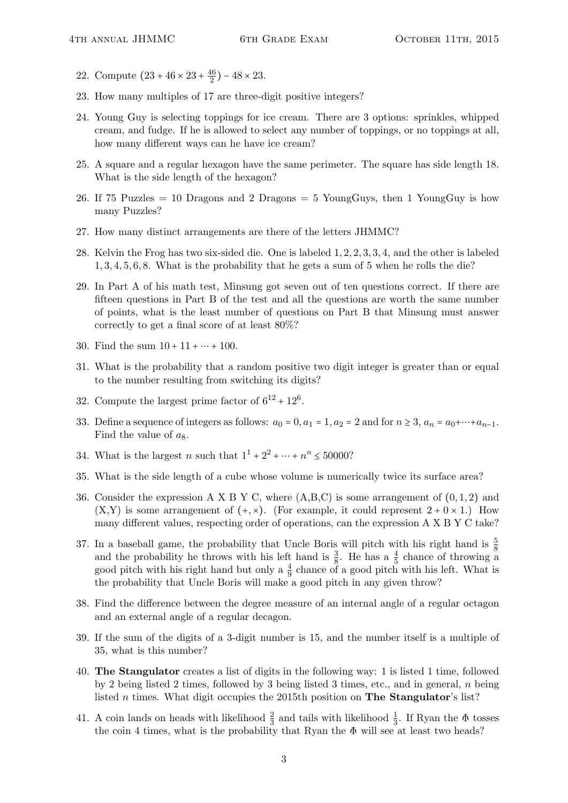- 22. Compute  $(23 + 46 \times 23 + \frac{46}{2})$  $\frac{16}{2}$ ) – 48 × 23.
- 23. How many multiples of 17 are three-digit positive integers?
- 24. Young Guy is selecting toppings for ice cream. There are 3 options: sprinkles, whipped cream, and fudge. If he is allowed to select any number of toppings, or no toppings at all, how many different ways can he have ice cream?
- 25. A square and a regular hexagon have the same perimeter. The square has side length 18. What is the side length of the hexagon?
- 26. If 75 Puzzles = 10 Dragons and 2 Dragons = 5 YoungGuys, then 1 YoungGuy is how many Puzzles?
- 27. How many distinct arrangements are there of the letters JHMMC?
- 28. Kelvin the Frog has two six-sided die. One is labeled 1, 2, 2, 3, 3, 4, and the other is labeled 1, 3, 4, 5, 6, 8. What is the probability that he gets a sum of 5 when he rolls the die?
- 29. In Part A of his math test, Minsung got seven out of ten questions correct. If there are fifteen questions in Part B of the test and all the questions are worth the same number of points, what is the least number of questions on Part B that Minsung must answer correctly to get a final score of at least 80%?
- 30. Find the sum  $10 + 11 + \cdots + 100$ .
- 31. What is the probability that a random positive two digit integer is greater than or equal to the number resulting from switching its digits?
- 32. Compute the largest prime factor of  $6^{12} + 12^6$ .
- 33. Define a sequence of integers as follows:  $a_0 = 0$ ,  $a_1 = 1$ ,  $a_2 = 2$  and for  $n \ge 3$ ,  $a_n = a_0 + \cdots + a_{n-1}$ . Find the value of  $a_8$ .
- 34. What is the largest *n* such that  $1^{1} + 2^{2} + \cdots + n^{n} \le 50000$ ?
- 35. What is the side length of a cube whose volume is numerically twice its surface area?
- 36. Consider the expression A X B Y C, where  $(A,B,C)$  is some arrangement of  $(0,1,2)$  and  $(X,Y)$  is some arrangement of  $(+, \times)$ . (For example, it could represent  $2 + 0 \times 1$ .) How many different values, respecting order of operations, can the expression A X B Y C take?
- 37. In a baseball game, the probability that Uncle Boris will pitch with his right hand is  $\frac{5}{8}$ and the probability he throws with his left hand is  $\frac{3}{8}$ . He has a  $\frac{4}{5}$  chance of throwing a good pitch with his right hand but only a  $\frac{4}{9}$  chance of a good pitch with his left. What is the probability that Uncle Boris will make a good pitch in any given throw?
- 38. Find the difference between the degree measure of an internal angle of a regular octagon and an external angle of a regular decagon.
- 39. If the sum of the digits of a 3-digit number is 15, and the number itself is a multiple of 35, what is this number?
- 40. The Stangulator creates a list of digits in the following way: 1 is listed 1 time, followed by 2 being listed 2 times, followed by 3 being listed 3 times, etc., and in general, n being listed n times. What digit occupies the 2015th position on The Stangulator's list?
- 41. A coin lands on heads with likelihood  $\frac{2}{3}$  and tails with likelihood  $\frac{1}{3}$ . If Ryan the  $\Phi$  tosses the coin 4 times, what is the probability that Ryan the  $\Phi$  will see at least two heads?